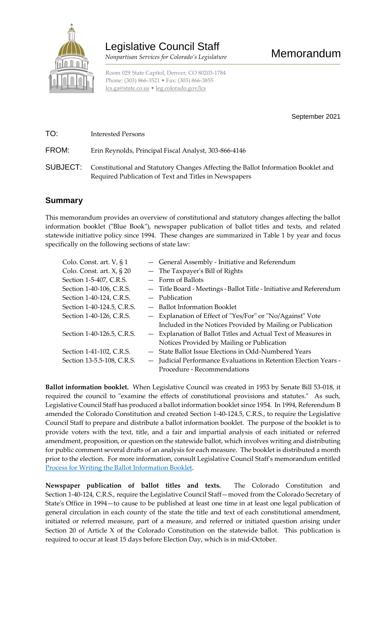

Room 029 State Capitol, Denver, CO 80203-1784 Phone: (303) 866-3521 • Fax: (303) 866-3855 [lcs.ga@state.co.us](mailto:lcs.ga@state.co.us) • [leg.colorado.gov/lcs](http://leg.colorado.gov/lcs)

September 2021

TO: Interested Persons

FROM: Erin Reynolds, Principal Fiscal Analyst, 303-866-4146

SUBJECT: Constitutional and Statutory Changes Affecting the Ballot Information Booklet and Required Publication of Text and Titles in Newspapers

## **Summary**

This memorandum provides an overview of constitutional and statutory changes affecting the ballot information booklet ("Blue Book"), newspaper publication of ballot titles and texts, and related statewide initiative policy since 1994. These changes are summarized in Table 1 by year and focus specifically on the following sections of state law:

| Colo. Const. art. V, § 1        | - General Assembly - Initiative and Referendum                      |
|---------------------------------|---------------------------------------------------------------------|
| Colo. Const. art. $X$ , $\S$ 20 | - The Taxpayer's Bill of Rights                                     |
| Section 1-5-407, C.R.S.         | $-$ Form of Ballots                                                 |
| Section 1-40-106, C.R.S.        | - Title Board - Meetings - Ballot Title - Initiative and Referendum |
| Section 1-40-124, C.R.S.        | $-$ Publication                                                     |
| Section 1-40-124.5, C.R.S.      | - Ballot Information Booklet                                        |
| Section 1-40-126, C.R.S.        | - Explanation of Effect of "Yes/For" or "No/Against" Vote           |
|                                 | Included in the Notices Provided by Mailing or Publication          |
| Section 1-40-126.5, C.R.S.      | - Explanation of Ballot Titles and Actual Text of Measures in       |
|                                 | Notices Provided by Mailing or Publication                          |
| Section 1-41-102, C.R.S.        | - State Ballot Issue Elections in Odd-Numbered Years                |
| Section 13-5.5-108, C.R.S.      | - Judicial Performance Evaluations in Retention Election Years -    |
|                                 | Procedure - Recommendations                                         |

**Ballot information booklet.** When Legislative Council was created in 1953 by Senate Bill 53-018, it required the council to "examine the effects of constitutional provisions and statutes." As such, Legislative Council Staff has produced a ballot information booklet since 1954. In 1994, Referendum B amended the Colorado Constitution and created Section 1-40-124.5, C.R.S., to require the Legislative Council Staff to prepare and distribute a ballot information booklet. The purpose of the booklet is to provide voters with the text, title, and a fair and impartial analysis of each initiated or referred amendment, proposition, or question on the statewide ballot, which involves writing and distributing for public comment several drafts of an analysis for each measure. The booklet is distributed a month prior to the election. For more information, consult Legislative Council Staff's memorandum entitled [Process for Writing the Ballot Information Booklet.](https://leg.colorado.gov/sites/default/files/participantprocessmemo_0.pdf)

**Newspaper publication of ballot titles and texts.** The Colorado Constitution and Section 1-40-124, C.R.S., require the Legislative Council Staff—moved from the Colorado Secretary of State's Office in 1994—to cause to be published at least one time in at least one legal publication of general circulation in each county of the state the title and text of each constitutional amendment, initiated or referred measure, part of a measure, and referred or initiated question arising under Section 20 of Article X of the Colorado Constitution on the statewide ballot. This publication is required to occur at least 15 days before Election Day, which is in mid-October.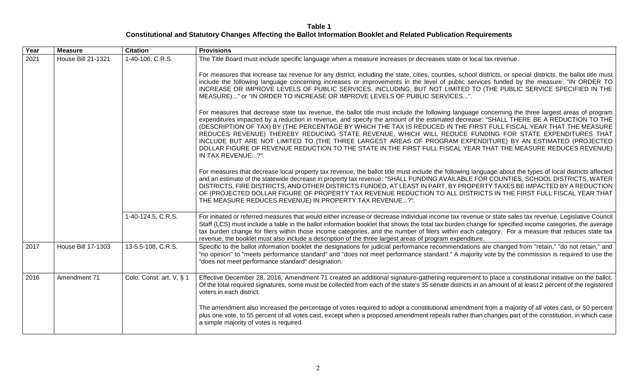**Table 1 Constitutional and Statutory Changes Affecting the Ballot Information Booklet and Related Publication Requirements**

| Year | <b>Measure</b>            | <b>Citation</b>          | <b>Provisions</b>                                                                                                                                                                                                                                                                                                                                                                                                                                                                                                                                                                                                                                                                                                                                                               |
|------|---------------------------|--------------------------|---------------------------------------------------------------------------------------------------------------------------------------------------------------------------------------------------------------------------------------------------------------------------------------------------------------------------------------------------------------------------------------------------------------------------------------------------------------------------------------------------------------------------------------------------------------------------------------------------------------------------------------------------------------------------------------------------------------------------------------------------------------------------------|
| 2021 | <b>House Bill 21-1321</b> | 1-40-106, C.R.S.         | The Title Board must include specific language when a measure increases or decreases state or local tax revenue.                                                                                                                                                                                                                                                                                                                                                                                                                                                                                                                                                                                                                                                                |
|      |                           |                          | For measures that increase tax revenue for any district, including the state, cities, counties, school districts, or special districts, the ballot title must<br>include the following language concerning increases or improvements in the level of public services funded by the measure: "IN ORDER TO<br>INCREASE OR IMPROVE LEVELS OF PUBLIC SERVICES, INCLUDING, BUT NOT LIMITED TO (THE PUBLIC SERVICE SPECIFIED IN THE<br>MEASURE)" or "IN ORDER TO INCREASE OR IMPROVE LEVELS OF PUBLIC SERVICES".                                                                                                                                                                                                                                                                      |
|      |                           |                          | For measures that decrease state tax revenue, the ballot title must include the following language concerning the three largest areas of program<br>expenditures impacted by a reduction in revenue, and specify the amount of the estimated decrease: "SHALL THERE BE A REDUCTION TO THE<br>(DESCRIPTION OF TAX) BY (THE PERCENTAGE BY WHICH THE TAX IS REDUCED IN THE FIRST FULL FISCAL YEAR THAT THE MEASURE<br>REDUCES REVENUE) THEREBY REDUCING STATE REVENUE, WHICH WILL REDUCE FUNDING FOR STATE EXPENDITURES THAT<br>INCLUDE BUT ARE NOT LIMITED TO (THE THREE LARGEST AREAS OF PROGRAM EXPENDITURE) BY AN ESTIMATED (PROJECTED<br>DOLLAR FIGURE OF REVENUE REDUCTION TO THE STATE IN THE FIRST FULL FISCAL YEAR THAT THE MEASURE REDUCES REVENUE)<br>IN TAX REVENUE?". |
|      |                           |                          | For measures that decrease local property tax revenue, the ballot title must include the following language about the types of local districts affected<br>and an estimate of the statewide decrease in property tax revenue: "SHALL FUNDING AVAILABLE FOR COUNTIES, SCHOOL DISTRICTS, WATER<br>DISTRICTS, FIRE DISTRICTS, AND OTHER DISTRICTS FUNDED, AT LEAST IN PART, BY PROPERTY TAXES BE IMPACTED BY A REDUCTION<br>OF (PROJECTED DOLLAR FIGURE OF PROPERTY TAX REVENUE REDUCTION TO ALL DISTRICTS IN THE FIRST FULL FISCAL YEAR THAT<br>THE MEASURE REDUCES REVENUE) IN PROPERTY TAX REVENUE?".                                                                                                                                                                           |
|      |                           | 1-40-124.5, C.R.S.       | For initiated or referred measures that would either increase or decrease individual income tax revenue or state sales tax revenue, Legislative Council<br>Staff (LCS) must include a table in the ballot information booklet that shows the total tax burden change for specified income categories, the average<br>tax burden change for filers within those income categories, and the number of filers within each category. For a measure that reduces state tax<br>revenue, the booklet must also include a description of the three largest areas of program expenditure.                                                                                                                                                                                                |
| 2017 | <b>House Bill 17-1303</b> | 13-5.5-108, C.R.S.       | Specific to the ballot information booklet the designations for judicial performance recommendations are changed from "retain," "do not retain," and<br>"no opinion" to "meets performance standard" and "does not meet performance standard." A majority vote by the commission is required to use the<br>"does not meet performance standard" designation.                                                                                                                                                                                                                                                                                                                                                                                                                    |
| 2016 | Amendment 71              | Colo. Const. art. V, § 1 | Effective December 28, 2016, Amendment 71 created an additional signature-gathering requirement to place a constitutional initiative on the ballot.<br>Of the total required signatures, some must be collected from each of the state's 35 senate districts in an amount of at least 2 percent of the registered<br>voters in each district.                                                                                                                                                                                                                                                                                                                                                                                                                                   |
|      |                           |                          | The amendment also increased the percentage of votes required to adopt a constitutional amendment from a majority of all votes cast, or 50 percent<br>plus one vote, to 55 percent of all votes cast, except when a proposed amendment repeals rather than changes part of the constitution, in which case<br>a simple majority of votes is required.                                                                                                                                                                                                                                                                                                                                                                                                                           |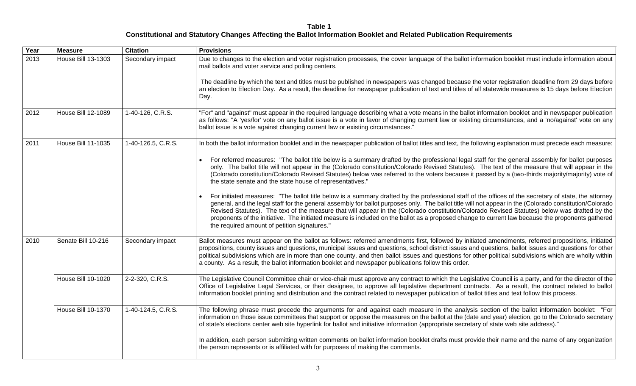**Table 1 Constitutional and Statutory Changes Affecting the Ballot Information Booklet and Related Publication Requirements**

| Year | <b>Measure</b>            | <b>Citation</b>    | <b>Provisions</b>                                                                                                                                                                                                                                                                                                                                                                                                                                                                                                                                                                                                                                                      |
|------|---------------------------|--------------------|------------------------------------------------------------------------------------------------------------------------------------------------------------------------------------------------------------------------------------------------------------------------------------------------------------------------------------------------------------------------------------------------------------------------------------------------------------------------------------------------------------------------------------------------------------------------------------------------------------------------------------------------------------------------|
| 2013 | <b>House Bill 13-1303</b> | Secondary impact   | Due to changes to the election and voter registration processes, the cover language of the ballot information booklet must include information about<br>mail ballots and voter service and polling centers.                                                                                                                                                                                                                                                                                                                                                                                                                                                            |
|      |                           |                    | The deadline by which the text and titles must be published in newspapers was changed because the voter registration deadline from 29 days before<br>an election to Election Day. As a result, the deadline for newspaper publication of text and titles of all statewide measures is 15 days before Election<br>Day.                                                                                                                                                                                                                                                                                                                                                  |
| 2012 | <b>House Bill 12-1089</b> | 1-40-126, C.R.S.   | "For" and "against" must appear in the required language describing what a vote means in the ballot information booklet and in newspaper publication<br>as follows: "A 'yes/for' vote on any ballot issue is a vote in favor of changing current law or existing circumstances, and a 'no/against' vote on any<br>ballot issue is a vote against changing current law or existing circumstances."                                                                                                                                                                                                                                                                      |
| 2011 | <b>House Bill 11-1035</b> | 1-40-126.5, C.R.S. | In both the ballot information booklet and in the newspaper publication of ballot titles and text, the following explanation must precede each measure:                                                                                                                                                                                                                                                                                                                                                                                                                                                                                                                |
|      |                           |                    | For referred measures: "The ballot title below is a summary drafted by the professional legal staff for the general assembly for ballot purposes<br>only. The ballot title will not appear in the (Colorado constitution/Colorado Revised Statutes). The text of the measure that will appear in the<br>(Colorado constitution/Colorado Revised Statutes) below was referred to the voters because it passed by a (two-thirds majority/majority) vote of<br>the state senate and the state house of representatives."                                                                                                                                                  |
|      |                           |                    | For initiated measures: "The ballot title below is a summary drafted by the professional staff of the offices of the secretary of state, the attorney<br>general, and the legal staff for the general assembly for ballot purposes only. The ballot title will not appear in the (Colorado constitution/Colorado<br>Revised Statutes). The text of the measure that will appear in the (Colorado constitution/Colorado Revised Statutes) below was drafted by the<br>proponents of the initiative. The initiated measure is included on the ballot as a proposed change to current law because the proponents gathered<br>the required amount of petition signatures." |
| 2010 | Senate Bill 10-216        | Secondary impact   | Ballot measures must appear on the ballot as follows: referred amendments first, followed by initiated amendments, referred propositions, initiated<br>propositions, county issues and questions, municipal issues and questions, school district issues and questions, ballot issues and questions for other<br>political subdivisions which are in more than one county, and then ballot issues and questions for other political subdivisions which are wholly within<br>a county. As a result, the ballot information booklet and newspaper publications follow this order.                                                                                        |
|      | <b>House Bill 10-1020</b> | 2-2-320, C.R.S.    | The Legislative Council Committee chair or vice-chair must approve any contract to which the Legislative Council is a party, and for the director of the<br>Office of Legislative Legal Services, or their designee, to approve all legislative department contracts. As a result, the contract related to ballot<br>information booklet printing and distribution and the contract related to newspaper publication of ballot titles and text follow this process.                                                                                                                                                                                                    |
|      | <b>House Bill 10-1370</b> | 1-40-124.5, C.R.S. | The following phrase must precede the arguments for and against each measure in the analysis section of the ballot information booklet: "For<br>information on those issue committees that support or oppose the measures on the ballot at the (date and year) election, go to the Colorado secretary<br>of state's elections center web site hyperlink for ballot and initiative information (appropriate secretary of state web site address)."                                                                                                                                                                                                                      |
|      |                           |                    | In addition, each person submitting written comments on ballot information booklet drafts must provide their name and the name of any organization<br>the person represents or is affiliated with for purposes of making the comments.                                                                                                                                                                                                                                                                                                                                                                                                                                 |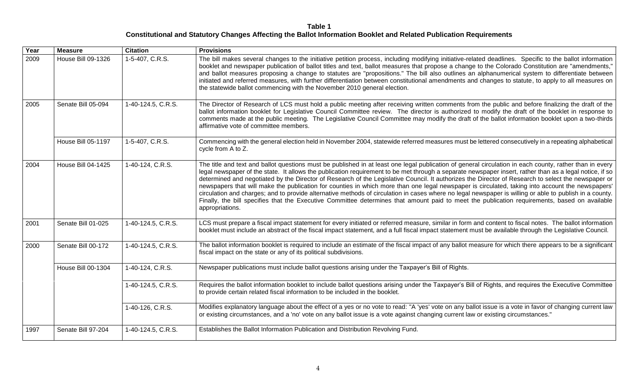**Table 1 Constitutional and Statutory Changes Affecting the Ballot Information Booklet and Related Publication Requirements**

| Year | <b>Measure</b>            | <b>Citation</b>    | <b>Provisions</b>                                                                                                                                                                                                                                                                                                                                                                                                                                                                                                                                                                                                                                                                                                                                                                                                                                                                                                                                            |
|------|---------------------------|--------------------|--------------------------------------------------------------------------------------------------------------------------------------------------------------------------------------------------------------------------------------------------------------------------------------------------------------------------------------------------------------------------------------------------------------------------------------------------------------------------------------------------------------------------------------------------------------------------------------------------------------------------------------------------------------------------------------------------------------------------------------------------------------------------------------------------------------------------------------------------------------------------------------------------------------------------------------------------------------|
| 2009 | House Bill 09-1326        | 1-5-407, C.R.S.    | The bill makes several changes to the initiative petition process, including modifying initiative-related deadlines. Specific to the ballot information<br>booklet and newspaper publication of ballot titles and text, ballot measures that propose a change to the Colorado Constitution are "amendments,"<br>and ballot measures proposing a change to statutes are "propositions." The bill also outlines an alphanumerical system to differentiate between<br>initiated and referred measures, with further differentiation between constitutional amendments and changes to statute, to apply to all measures on<br>the statewide ballot commencing with the November 2010 general election.                                                                                                                                                                                                                                                           |
| 2005 | Senate Bill 05-094        | 1-40-124.5, C.R.S. | The Director of Research of LCS must hold a public meeting after receiving written comments from the public and before finalizing the draft of the<br>ballot information booklet for Legislative Council Committee review. The director is authorized to modify the draft of the booklet in response to<br>comments made at the public meeting. The Legislative Council Committee may modify the draft of the ballot information booklet upon a two-thirds<br>affirmative vote of committee members.                                                                                                                                                                                                                                                                                                                                                                                                                                                         |
|      | House Bill 05-1197        | 1-5-407, C.R.S.    | Commencing with the general election held in November 2004, statewide referred measures must be lettered consecutively in a repeating alphabetical<br>cycle from A to Z.                                                                                                                                                                                                                                                                                                                                                                                                                                                                                                                                                                                                                                                                                                                                                                                     |
| 2004 | <b>House Bill 04-1425</b> | 1-40-124, C.R.S.   | The title and text and ballot questions must be published in at least one legal publication of general circulation in each county, rather than in every<br>legal newspaper of the state. It allows the publication requirement to be met through a separate newspaper insert, rather than as a legal notice, if so<br>determined and negotiated by the Director of Research of the Legislative Council. It authorizes the Director of Research to select the newspaper or<br>newspapers that will make the publication for counties in which more than one legal newspaper is circulated, taking into account the newspapers'<br>circulation and charges; and to provide alternative methods of circulation in cases where no legal newspaper is willing or able to publish in a county.<br>Finally, the bill specifies that the Executive Committee determines that amount paid to meet the publication requirements, based on available<br>appropriations. |
| 2001 | Senate Bill 01-025        | 1-40-124.5, C.R.S. | LCS must prepare a fiscal impact statement for every initiated or referred measure, similar in form and content to fiscal notes. The ballot information<br>booklet must include an abstract of the fiscal impact statement, and a full fiscal impact statement must be available through the Legislative Council.                                                                                                                                                                                                                                                                                                                                                                                                                                                                                                                                                                                                                                            |
| 2000 | Senate Bill 00-172        | 1-40-124.5, C.R.S. | The ballot information booklet is required to include an estimate of the fiscal impact of any ballot measure for which there appears to be a significant<br>fiscal impact on the state or any of its political subdivisions.                                                                                                                                                                                                                                                                                                                                                                                                                                                                                                                                                                                                                                                                                                                                 |
|      | <b>House Bill 00-1304</b> | 1-40-124, C.R.S.   | Newspaper publications must include ballot questions arising under the Taxpayer's Bill of Rights.                                                                                                                                                                                                                                                                                                                                                                                                                                                                                                                                                                                                                                                                                                                                                                                                                                                            |
|      |                           | 1-40-124.5, C.R.S. | Requires the ballot information booklet to include ballot questions arising under the Taxpayer's Bill of Rights, and requires the Executive Committee<br>to provide certain related fiscal information to be included in the booklet.                                                                                                                                                                                                                                                                                                                                                                                                                                                                                                                                                                                                                                                                                                                        |
|      |                           | 1-40-126, C.R.S.   | Modifies explanatory language about the effect of a yes or no vote to read: "A 'yes' vote on any ballot issue is a vote in favor of changing current law<br>or existing circumstances, and a 'no' vote on any ballot issue is a vote against changing current law or existing circumstances."                                                                                                                                                                                                                                                                                                                                                                                                                                                                                                                                                                                                                                                                |
| 1997 | Senate Bill 97-204        | 1-40-124.5, C.R.S. | Establishes the Ballot Information Publication and Distribution Revolving Fund.                                                                                                                                                                                                                                                                                                                                                                                                                                                                                                                                                                                                                                                                                                                                                                                                                                                                              |